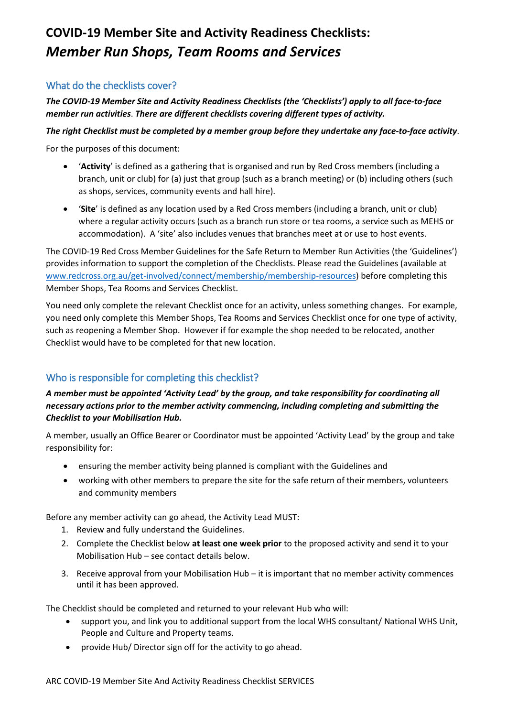# **COVID-19 Member Site and Activity Readiness Checklists:**  *Member Run Shops, Team Rooms and Services*

## What do the checklists cover?

*The COVID-19 Member Site and Activity Readiness Checklists (the 'Checklists') apply to all face-to-face member run activities*. *There are different checklists covering different types of activity.*

#### *The right Checklist must be completed by a member group before they undertake any face-to-face activity*.

For the purposes of this document:

- '**Activity**' is defined as a gathering that is organised and run by Red Cross members (including a branch, unit or club) for (a) just that group (such as a branch meeting) or (b) including others (such as shops, services, community events and hall hire).
- '**Site**' is defined as any location used by a Red Cross members (including a branch, unit or club) where a regular activity occurs (such as a branch run store or tea rooms, a service such as MEHS or accommodation). A 'site' also includes venues that branches meet at or use to host events.

The COVID-19 Red Cross Member Guidelines for the Safe Return to Member Run Activities (the 'Guidelines') provides information to support the completion of the Checklists. Please read the Guidelines (available at [www.redcross.org.au/get-involved/connect/membership/membership-resources\)](https://www.redcross.org.au/get-involved/connect/membership/membership-resources) before completing this Member Shops, Tea Rooms and Services Checklist.

You need only complete the relevant Checklist once for an activity, unless something changes. For example, you need only complete this Member Shops, Tea Rooms and Services Checklist once for one type of activity, such as reopening a Member Shop. However if for example the shop needed to be relocated, another Checklist would have to be completed for that new location.

# Who is responsible for completing this checklist?

### *A member must be appointed 'Activity Lead' by the group, and take responsibility for coordinating all necessary actions prior to the member activity commencing, including completing and submitting the Checklist to your Mobilisation Hub.*

A member, usually an Office Bearer or Coordinator must be appointed 'Activity Lead' by the group and take responsibility for:

- ensuring the member activity being planned is compliant with the Guidelines and
- working with other members to prepare the site for the safe return of their members, volunteers and community members

Before any member activity can go ahead, the Activity Lead MUST:

- 1. Review and fully understand the Guidelines.
- 2. Complete the Checklist below **at least one week prior** to the proposed activity and send it to your Mobilisation Hub – see contact details below.
- 3. Receive approval from your Mobilisation Hub it is important that no member activity commences until it has been approved.

The Checklist should be completed and returned to your relevant Hub who will:

- support you, and link you to additional support from the local WHS consultant/ National WHS Unit, People and Culture and Property teams.
- provide Hub/ Director sign off for the activity to go ahead.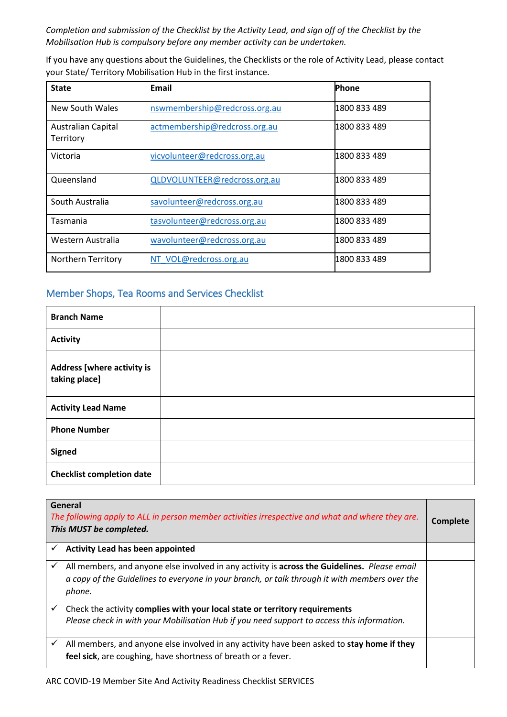*Completion and submission of the Checklist by the Activity Lead, and sign off of the Checklist by the Mobilisation Hub is compulsory before any member activity can be undertaken.*

If you have any questions about the Guidelines, the Checklists or the role of Activity Lead, please contact your State/ Territory Mobilisation Hub in the first instance.

| <b>State</b>                           | Email                         | Phone        |
|----------------------------------------|-------------------------------|--------------|
| New South Wales                        | nswmembership@redcross.org.au | 1800 833 489 |
| <b>Australian Capital</b><br>Territory | actmembership@redcross.org.au | 1800 833 489 |
| Victoria                               | vicvolunteer@redcross.org.au  | 1800 833 489 |
| Queensland                             | QLDVOLUNTEER@redcross.org.au  | 1800 833 489 |
| South Australia                        | savolunteer@redcross.org.au   | 1800 833 489 |
| Tasmania                               | tasvolunteer@redcross.org.au  | 1800 833 489 |
| Western Australia                      | wavolunteer@redcross.org.au   | 1800 833 489 |
| <b>Northern Territory</b>              | NT VOL@redcross.org.au        | 1800 833 489 |

## Member Shops, Tea Rooms and Services Checklist

| <b>Branch Name</b>                                 |  |
|----------------------------------------------------|--|
| <b>Activity</b>                                    |  |
| <b>Address [where activity is</b><br>taking place] |  |
| <b>Activity Lead Name</b>                          |  |
| <b>Phone Number</b>                                |  |
| <b>Signed</b>                                      |  |
| <b>Checklist completion date</b>                   |  |

| General<br>The following apply to ALL in person member activities irrespective and what and where they are.<br>This MUST be completed.                                                                  |  |
|---------------------------------------------------------------------------------------------------------------------------------------------------------------------------------------------------------|--|
| <b>Activity Lead has been appointed</b>                                                                                                                                                                 |  |
| All members, and anyone else involved in any activity is across the Guidelines. Please email<br>a copy of the Guidelines to everyone in your branch, or talk through it with members over the<br>phone. |  |
| Check the activity complies with your local state or territory requirements                                                                                                                             |  |
| Please check in with your Mobilisation Hub if you need support to access this information.                                                                                                              |  |
| All members, and anyone else involved in any activity have been asked to stay home if they                                                                                                              |  |
| feel sick, are coughing, have shortness of breath or a fever.                                                                                                                                           |  |
|                                                                                                                                                                                                         |  |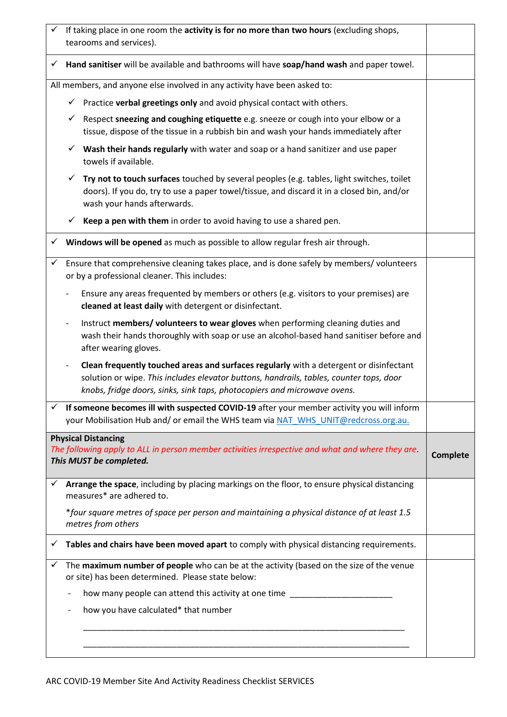|   | If taking place in one room the activity is for no more than two hours (excluding shops,<br>tearooms and services).                                                                                                                                           |                 |
|---|---------------------------------------------------------------------------------------------------------------------------------------------------------------------------------------------------------------------------------------------------------------|-----------------|
| ✓ | Hand sanitiser will be available and bathrooms will have soap/hand wash and paper towel.                                                                                                                                                                      |                 |
|   | All members, and anyone else involved in any activity have been asked to:                                                                                                                                                                                     |                 |
|   | $\checkmark$ Practice verbal greetings only and avoid physical contact with others.                                                                                                                                                                           |                 |
|   | Respect sneezing and coughing etiquette e.g. sneeze or cough into your elbow or a<br>$\checkmark$<br>tissue, dispose of the tissue in a rubbish bin and wash your hands immediately after                                                                     |                 |
|   | Wash their hands regularly with water and soap or a hand sanitizer and use paper<br>$\checkmark$<br>towels if available.                                                                                                                                      |                 |
|   | Try not to touch surfaces touched by several peoples (e.g. tables, light switches, toilet<br>doors). If you do, try to use a paper towel/tissue, and discard it in a closed bin, and/or<br>wash your hands afterwards.                                        |                 |
|   | Keep a pen with them in order to avoid having to use a shared pen.<br>✓                                                                                                                                                                                       |                 |
|   | Windows will be opened as much as possible to allow regular fresh air through.                                                                                                                                                                                |                 |
| ✓ | Ensure that comprehensive cleaning takes place, and is done safely by members/volunteers<br>or by a professional cleaner. This includes:                                                                                                                      |                 |
|   | Ensure any areas frequented by members or others (e.g. visitors to your premises) are<br>cleaned at least daily with detergent or disinfectant.                                                                                                               |                 |
|   | Instruct members/ volunteers to wear gloves when performing cleaning duties and<br>wash their hands thoroughly with soap or use an alcohol-based hand sanitiser before and<br>after wearing gloves.                                                           |                 |
|   | Clean frequently touched areas and surfaces regularly with a detergent or disinfectant<br>solution or wipe. This includes elevator buttons, handrails, tables, counter tops, door<br>knobs, fridge doors, sinks, sink taps, photocopiers and microwave ovens. |                 |
| ✓ | If someone becomes ill with suspected COVID-19 after your member activity you will inform<br>your Mobilisation Hub and/or email the WHS team via NAT WHS UNIT@redcross.org.au.                                                                                |                 |
|   | <b>Physical Distancing</b><br>The following apply to ALL in person member activities irrespective and what and where they are.<br>This MUST be completed.                                                                                                     | <b>Complete</b> |
| ✓ | Arrange the space, including by placing markings on the floor, to ensure physical distancing<br>measures* are adhered to.                                                                                                                                     |                 |
|   | *four square metres of space per person and maintaining a physical distance of at least 1.5<br>metres from others                                                                                                                                             |                 |
| ✓ | Tables and chairs have been moved apart to comply with physical distancing requirements.                                                                                                                                                                      |                 |
| ✓ | The maximum number of people who can be at the activity (based on the size of the venue<br>or site) has been determined. Please state below:                                                                                                                  |                 |
|   | how many people can attend this activity at one time ________                                                                                                                                                                                                 |                 |
|   | how you have calculated* that number                                                                                                                                                                                                                          |                 |
|   |                                                                                                                                                                                                                                                               |                 |
|   |                                                                                                                                                                                                                                                               |                 |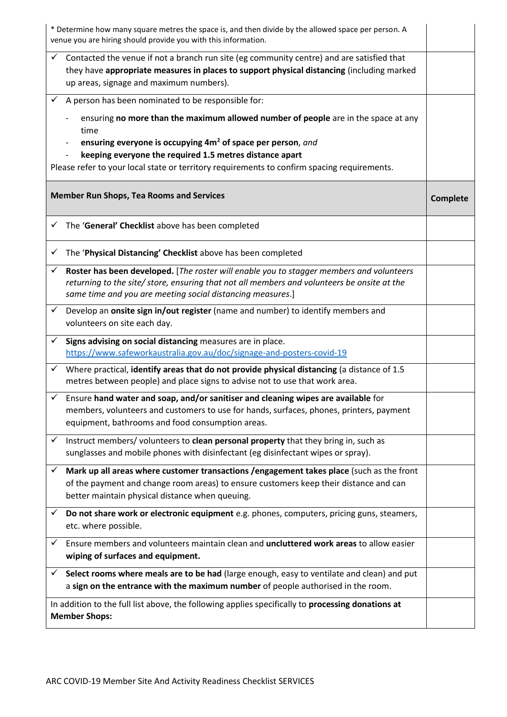|                                                                                                                           | * Determine how many square metres the space is, and then divide by the allowed space per person. A<br>venue you are hiring should provide you with this information.                                                                                                                                                                                                                 |                 |
|---------------------------------------------------------------------------------------------------------------------------|---------------------------------------------------------------------------------------------------------------------------------------------------------------------------------------------------------------------------------------------------------------------------------------------------------------------------------------------------------------------------------------|-----------------|
| ✓                                                                                                                         | Contacted the venue if not a branch run site (eg community centre) and are satisfied that<br>they have appropriate measures in places to support physical distancing (including marked<br>up areas, signage and maximum numbers).                                                                                                                                                     |                 |
|                                                                                                                           | A person has been nominated to be responsible for:<br>ensuring no more than the maximum allowed number of people are in the space at any<br>time<br>ensuring everyone is occupying 4m <sup>2</sup> of space per person, and<br>keeping everyone the required 1.5 metres distance apart<br>Please refer to your local state or territory requirements to confirm spacing requirements. |                 |
|                                                                                                                           | <b>Member Run Shops, Tea Rooms and Services</b>                                                                                                                                                                                                                                                                                                                                       | <b>Complete</b> |
| ✓                                                                                                                         | The 'General' Checklist above has been completed                                                                                                                                                                                                                                                                                                                                      |                 |
| ✓                                                                                                                         | The 'Physical Distancing' Checklist above has been completed                                                                                                                                                                                                                                                                                                                          |                 |
| ✓                                                                                                                         | Roster has been developed. [The roster will enable you to stagger members and volunteers<br>returning to the site/ store, ensuring that not all members and volunteers be onsite at the<br>same time and you are meeting social distancing measures.]                                                                                                                                 |                 |
| $\checkmark$                                                                                                              | Develop an onsite sign in/out register (name and number) to identify members and<br>volunteers on site each day.                                                                                                                                                                                                                                                                      |                 |
| ✓                                                                                                                         | Signs advising on social distancing measures are in place.<br>https://www.safeworkaustralia.gov.au/doc/signage-and-posters-covid-19                                                                                                                                                                                                                                                   |                 |
| ✓                                                                                                                         | Where practical, identify areas that do not provide physical distancing (a distance of 1.5<br>metres between people) and place signs to advise not to use that work area.                                                                                                                                                                                                             |                 |
|                                                                                                                           | $\checkmark$ Ensure hand water and soap, and/or sanitiser and cleaning wipes are available for<br>members, volunteers and customers to use for hands, surfaces, phones, printers, payment<br>equipment, bathrooms and food consumption areas.                                                                                                                                         |                 |
| ✓                                                                                                                         | Instruct members/ volunteers to clean personal property that they bring in, such as<br>sunglasses and mobile phones with disinfectant (eg disinfectant wipes or spray).                                                                                                                                                                                                               |                 |
|                                                                                                                           | Mark up all areas where customer transactions /engagement takes place (such as the front<br>of the payment and change room areas) to ensure customers keep their distance and can<br>better maintain physical distance when queuing.                                                                                                                                                  |                 |
| ✓                                                                                                                         | Do not share work or electronic equipment e.g. phones, computers, pricing guns, steamers,<br>etc. where possible.                                                                                                                                                                                                                                                                     |                 |
| ✓                                                                                                                         | Ensure members and volunteers maintain clean and uncluttered work areas to allow easier<br>wiping of surfaces and equipment.                                                                                                                                                                                                                                                          |                 |
| ✓                                                                                                                         | Select rooms where meals are to be had (large enough, easy to ventilate and clean) and put<br>a sign on the entrance with the maximum number of people authorised in the room.                                                                                                                                                                                                        |                 |
| In addition to the full list above, the following applies specifically to processing donations at<br><b>Member Shops:</b> |                                                                                                                                                                                                                                                                                                                                                                                       |                 |